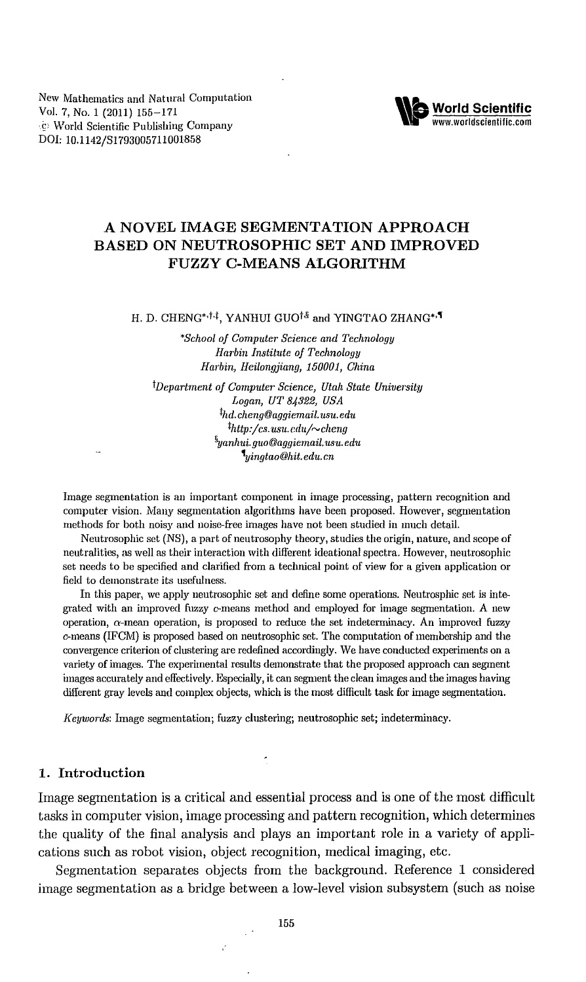New Mathematics and Natural Computation Vol. 7, No.1 (2011) 155-171 '£' World Scientific Publishing Company DOl: 1O.1142/S1793005711001858



# **A NOVEL IMAGE SEGMENTATION APPROACH BASED ON NEUTROSOPHIC SET AND IMPROVED FUZZY C-MEANS ALGORITHM**

H. D. CHENG\*<sup>,†,†</sup>, YANHUI GUO<sup>†,§</sup> and YINGTAO ZHANG\*,<sup>1</sup>

*'School oj Computer Science and Technology Harbin Institute oj Technology Harbin, Heilongjiang, 150001, China*

*tDepartment oj Computer Science, Utah State Uniuersitu Logan, UT* 84322, *USA thd.cheng@aggiemail.usu.edu thttp:/cs.usn.* cdn/~cheng *flyanhui. gno@aggiemail.usu.edu tyingtao@hit.edu.cn*

Image segmentation is an important component in image processing, pattern recognition and computer vision. Many segmentation algorithms have been proposed. However, segmentation methods for both noisy and noise-free images have not been studied in much detail.

Neutrosophic set (NS), a part of neutrosophy theory, studies the origin, nature, and scope of neutralities, as well as their interaction with different ideational spectra. However, neutrosophic set needs to be specified and clarified from a technical point of view for a given application or field to demonstrate its usefulness.

In this paper, we apply neutrosophic set and define some operations. Neutrosphic set is integrated with an improved fuzzy c-means method and employed for image segmentation. A new operation,  $\alpha$ -mean operation, is proposed to reduce the set indeterminacy. An improved fuzzy c-means (IFCM) is proposed based on neutrosophic set. The computation of membership and the convergence criterion of clustering are redefined accordingly. We have conducted experiments on a variety of images. The experimental results demonstrate that the proposed approach can segment images accurately and effectively. Especially, it can segment the clean images and the images having different gray levels and complex objects, which is the most difficult task for image segmentation.

*Keywords:* Image segmentation; fuzzy clustering; neutrosophic set; indeterminacy.

#### 1. **Introduction**

Image segmentation is a critical and essential process and is one of the most difficult tasks in computer vision, image processing and pattern recognition, which determines the quality of the final analysis and plays an important role in a variety of applications such as robot vision, object recognition, medical imaging, etc.

Segmentation separates objects from the background. Reference 1 considered image segmentation as a bridge between a low-level vision subsystem (such as noise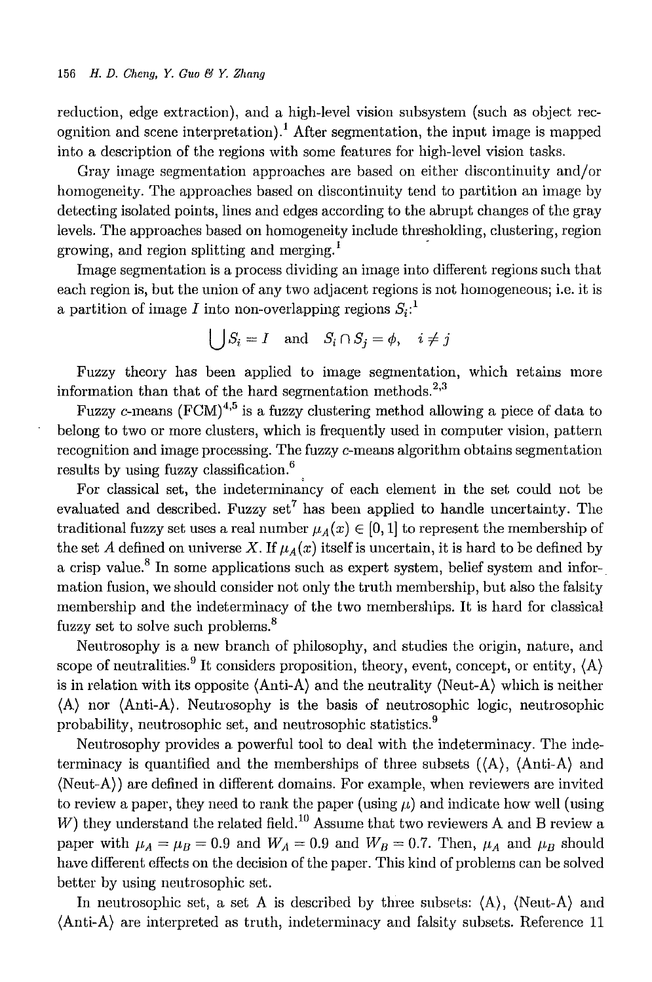reduction, edge extraction), and a high-level vision subsystem (such as object recognition and scene interpretation).<sup>1</sup> After segmentation, the input image is mapped into a description of the regions with some features for high-level vision tasks.

Gray image segmentation approaches are based on either discontinuity and/or homogeneity. The approaches based on discontinuity tend to partition an image by detecting isolated points, lines and edges according to the abrupt changes of the gray levels. The approaches based on homogeneity include thresholding, clustering, region growing, and region splitting and merging.<sup>1</sup>

Image segmentation is a process dividing an image into different regions such that each region is, but the union of any two adjacent regions is not homogeneous; i.e. it is a partition of image  $I$  into non-overlapping regions  $S_i$ :<sup>1</sup>

$$
\bigcup S_i = I
$$
 and  $S_i \cap S_j = \phi$ ,  $i \neq j$ 

Fuzzy theory has been applied to image segmentation, which retains more information than that of the hard segmentation methods.<sup>2,3</sup>

Fuzzy c-means  $(FCM)^{4,5}$  is a fuzzy clustering method allowing a piece of data to belong to two or more clusters, which is frequently used in computer vision, pattern recognition and image processing. The fuzzy c-means algorithm obtains segmentation results by using fuzzy classification.<sup>6</sup>

For classical set, the indeterminancy of each element in the set could not be evaluated and described. Fuzzy set<sup>7</sup> has been applied to handle uncertainty. The traditional fuzzy set uses a real number  $\mu_A(x) \in [0,1]$  to represent the membership of the set *A* defined on universe X. If  $\mu_A(x)$  itself is uncertain, it is hard to be defined by a crisp value.<sup>8</sup> In some applications such as expert system, belief system and information fusion, we should consider not only the truth membership, but also the falsity membership and the indeterminacy of the two memberships. It is hard for classical fuzzy set to solve such problems.<sup>8</sup>

Neutrosophy is a new branch of philosophy, and studies the origin, nature, and scope of neutralities.<sup>9</sup> It considers proposition, theory, event, concept, or entity,  $\langle A \rangle$ is in relation with its opposite  $\langle$ Anti-A $\rangle$  and the neutrality  $\langle$ Neut-A $\rangle$  which is neither (A) nor (Anti-A). Neutrosophy is the basis of neutrosophic logic, neutrosophic probability, neutrosophic set, and neutrosophic statistics.<sup>9</sup>

Neutrosophy provides a powerful tool to deal with the indeterminacy. The indeterminacy is quantified and the memberships of three subsets  $(\langle A \rangle, \langle Anti-A \rangle)$  and (Neut-A)) are defined in different domains. For example, when reviewers are invited to review a paper, they need to rank the paper (using  $\mu$ ) and indicate how well (using  $W$ ) they understand the related field.<sup>10</sup> Assume that two reviewers A and B review a paper with  $\mu_A = \mu_B = 0.9$  and  $W_A = 0.9$  and  $W_B = 0.7$ . Then,  $\mu_A$  and  $\mu_B$  should have different effects on the decision of the paper. This kind of problems can be solved better by using neutrosophic set.

In neutrosophic set, a set A is described by three subsets:  $\langle A \rangle$ ,  $\langle Neut-A \rangle$  and (Anti-A) are interpreted as truth, indeterminacy and falsity subsets. Reference 11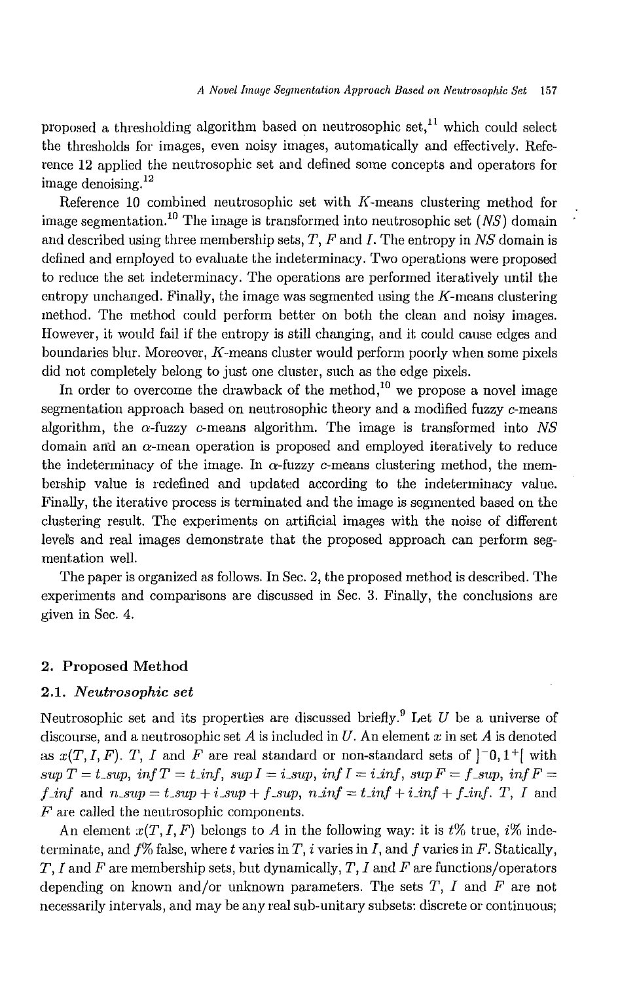proposed a thresholding algorithm based on neutrosophic set,<sup>11</sup> which could select the thresholds for images, even noisy images, automatically and effectively. Reference 12 applied the neutrosophic set and defined some concepts and operators for image denoising.<sup>12</sup>

Reference 10 combined neutrosophic set with  $K$ -means clustering method for image segmentation.<sup>10</sup> The image is transformed into neutrosophic set  $(NS)$  domain and described using three membership sets, *T, F* and *I.* The entropy in *NS* domain is defined and employed to evaluate the indeterminacy. Two operations were proposed to reduce the set indeterminacy. The operations are performed iteratively until the entropy unchanged. Finally, the image was segmented using the  $K$ -means clustering method. The method could perform better on both the clean and noisy images. However, it would fail if the entropy is still changing, and it could cause edges and boundaries blur. Moreover,  $K$ -means cluster would perform poorly when some pixels did not completely belong to just one cluster, such as the edge pixels.

In order to overcome the drawback of the method,<sup>10</sup> we propose a novel image segmentation approach based on neutrosophic theory and a modified fuzzy c-means algorithm, the  $\alpha$ -fuzzy  $c$ -means algorithm. The image is transformed into *NS* domain and an a-mean operation is proposed and employed iteratively to reduce the indeterminacy of the image. In  $\alpha$ -fuzzy c-means clustering method, the membership value is redefined and updated according to the indeterminacy value. Finally, the iterative process is terminated and the image is segmented based on the clustering result. The experiments on artificial images with the noise of different level's and real images demonstrate that the proposed approach can perform segmentation well.

The paper is organized as follows. In Sec. 2, the proposed method is described. The experiments and comparisons are discussed in Sec. 3. Finally, the conclusions are given in Sec. 4.

#### 2. Proposed Method

## *2.1. Neutrosophic set*

Neutrosophic set and its properties are discussed briefly.<sup>9</sup> Let *U* be a universe of discourse, and a neutrosophic set A is included in U. An element *x* in set A is denoted as  $x(T, I, F)$ . T, I and F are real standard or non-standard sets of  $\vert \bar{=}0, 1^+\vert$  with  $\sup T = t \supseteq \inf$ ,  $\inf T = t \inf$ ,  $\sup I = i \sup$ ,  $\inf I = i \inf$ ,  $\sup F = f \sup$ ,  $\inf F = f$  $f_{\text{-}} \text{inf}$  and  $n_{\text{-}} \text{sup} = t_{\text{-}} \text{sup} + i_{\text{-}} \text{sup} + f_{\text{-}} \text{sup}, n_{\text{-}} \text{inf} = t_{\text{-}} \text{inf} + i_{\text{-}} \text{inf} + f_{\text{-}} \text{inf}.$  *T, I* and *F* are called the neutrosophic components.

An element  $x(T, I, F)$  belongs to A in the following way: it is t<sup>o</sup> true, i<sup>n</sup> indeterminate, and *f%* false, where *t* varies in *T,* i varies in *I,* and *f* varies in *F.* Statically, *T, I* and *F* are membership sets, but dynamically, *T, I* and *F* are functions/operators depending on known and/or unknown parameters. The sets *T, I* and *F* are not necessarily intervals, and may be any real sub-unitary subsets: discrete or continuous;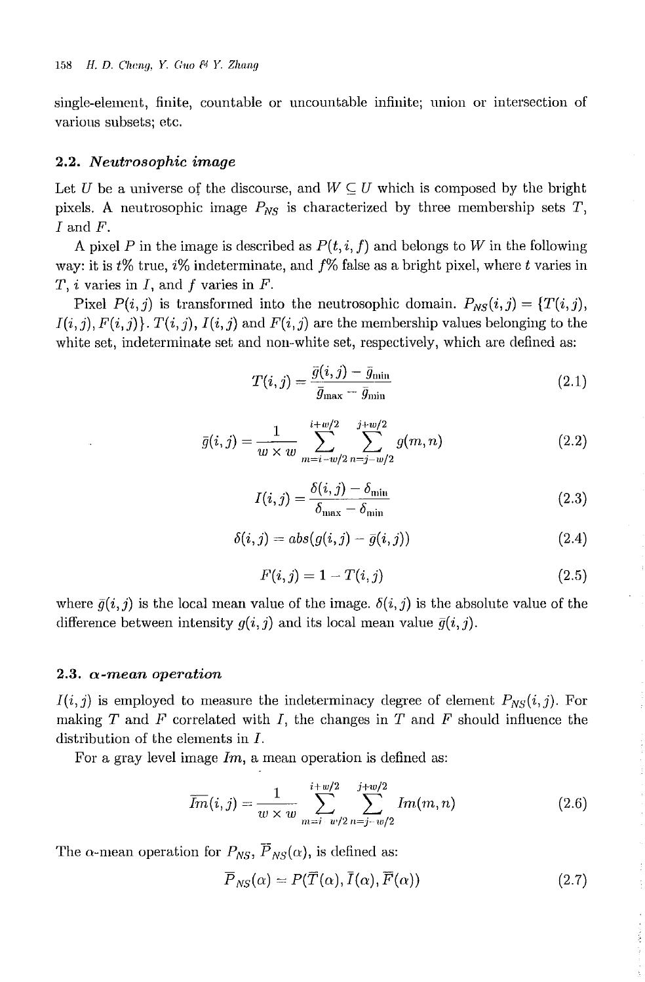single-element, finite, countable or uncountable infinite; union or intersection of various subsets; etc.

#### *2.2. Neutrosophic image*

Let U be a universe of the discourse, and  $W \subseteq U$  which is composed by the bright pixels. A neutrosophic image  $P_{NS}$  is characterized by three membership sets  $T$ , *I* and *F.*

A pixel P in the image is described as  $P(t, i, f)$  and belongs to W in the following way: it is *t%* true, i% indeterminate, and *f%* false as a bright pixel, where *t* varies in *T,* i varies in *I,* and f varies in *F.*

Pixel  $P(i,j)$  is transformed into the neutrosophic domain.  $P_{NS}(i,j) = \{T(i,j),$  $I(i,j), F(i,j)$ .  $T(i,j), I(i,j)$  and  $F(i,j)$  are the membership values belonging to the white set, indeterminate set and non-white set, respectively, which are defined as:

$$
T(i,j) = \frac{\bar{g}(i,j) - \bar{g}_{\min}}{\bar{g}_{\max} - \bar{g}_{\min}}\tag{2.1}
$$

$$
\bar{g}(i,j) = \frac{1}{w \times w} \sum_{m=i-w/2}^{i+w/2} \sum_{n=j-w/2}^{j+w/2} g(m,n) \tag{2.2}
$$

$$
I(i,j) = \frac{\delta(i,j) - \delta_{\min}}{\delta_{\max} - \delta_{\min}}
$$
\n(2.3)

$$
\delta(i,j) = abs(g(i,j) - \bar{g}(i,j))
$$
\n(2.4)

$$
F(i,j) = 1 - T(i,j)
$$
\n(2.5)

where  $\bar{g}(i, j)$  is the local mean value of the image.  $\delta(i, j)$  is the absolute value of the difference between intensity  $g(i, j)$  and its local mean value  $\bar{g}(i, j)$ .

#### *2.3. a-mean operation*

 $I(i, j)$  is employed to measure the indeterminacy degree of element  $P_{NS}(i, j)$ . For making *T* and *F* correlated with *I,* the changes in *T* and *F* should influence the distribution of the elements in *I.*

For a gray level image *Im;* a mean operation is defined as:

$$
\overline{Im}(i,j) = \frac{1}{w \times w} \sum_{m=i-w/2}^{i+w/2} \sum_{n=j-w/2}^{j+w/2} Im(m,n) \tag{2.6}
$$

The  $\alpha$ -mean operation for  $P_{NS}$ ,  $\overline{P}_{NS}(\alpha)$ , is defined as:

$$
\overline{P}_{NS}(\alpha) = P(\overline{T}(\alpha), \overline{I}(\alpha), \overline{F}(\alpha))
$$
\n(2.7)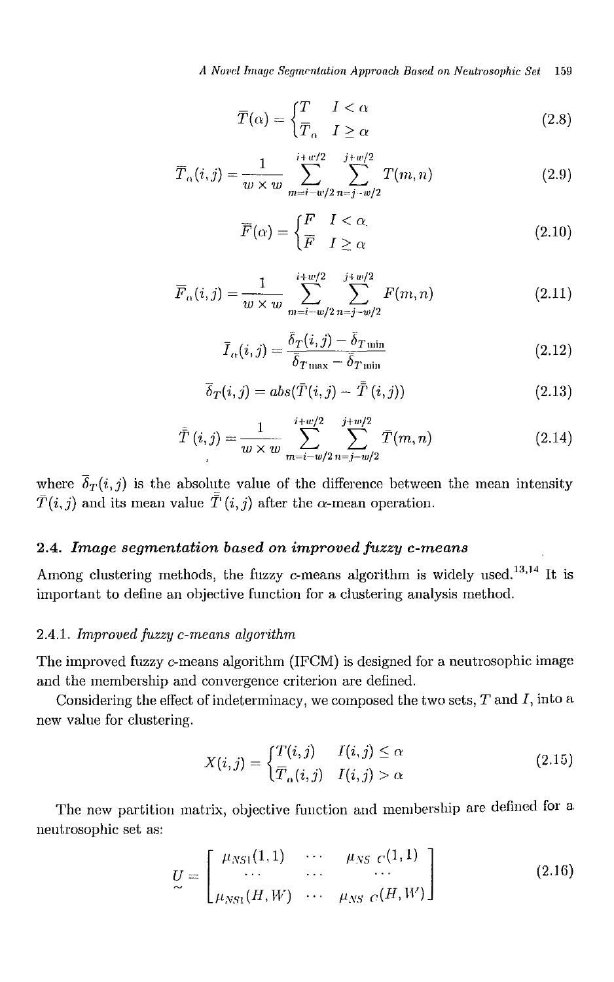*A N01,d Image Segm('ntation Approach Based on Neutrosophic Set* 159

$$
\overline{T}(\alpha) = \begin{cases} T & I < \alpha \\ \overline{T}_{\alpha} & I \ge \alpha \end{cases}
$$
 (2.8)

$$
\overline{T}_{\alpha}(i,j) = \frac{1}{w \times w} \sum_{m=i-w/2}^{i+w/2} \sum_{n=j-w/2}^{j+w/2} T(m,n)
$$
\n(2.9)

$$
\overline{F}(\alpha) = \begin{cases} F & I < \alpha \\ \overline{F} & I \ge \alpha \end{cases}
$$
 (2.10)

$$
\overline{F}_{\alpha}(i,j) = \frac{1}{w \times w} \sum_{m=i-w/2}^{i+w/2} \sum_{n=j-w/2}^{j+w/2} F(m,n)
$$
\n(2.11)

$$
\overline{I}_{\alpha}(i,j) = \frac{\overline{\delta}_{T}(i,j) - \overline{\delta}_{T\min}}{\overline{\delta}_{T\max} - \overline{\delta}_{T\min}}
$$
\n(2.12)

$$
\overline{\delta}_T(i,j) = abs(\overline{T}(i,j) - \overline{\overline{T}}(i,j))
$$
\n(2.13)

$$
\bar{\bar{T}}(i,j) = \frac{1}{w \times w} \sum_{m=i-w/2}^{i+w/2} \sum_{n=j-w/2}^{j+w/2} \bar{T}(m,n)
$$
\n(2.14)

where  $\overline{\delta}_T(i, j)$  is the absolute value of the difference between the mean intensity  $\bar{T}(i,j)$  and its mean value  $\bar{\bar{T}}(i,j)$  after the  $\alpha$ -mean operation.

## *2.4. Image segmentation based on improved fuzzy c-means*

Among clustering methods, the fuzzy  $c$ -means algorithm is widely used.<sup>13,14</sup> It is important to define an objective function for a clustering analysis method.

#### *2.4.1. Improved fuzzy c-means algorithrn*

The improved fuzzy c-means algorithm (IFCM) is designed for a neutrosophic image and the membership and convergence criterion are defined.

Considering the effect of indeterminacy, we composed the two sets,  $T$  and  $I$ , into a new value for clustering.

$$
X(i,j) = \begin{cases} T(i,j) & I(i,j) \le \alpha \\ \overline{T}_{\alpha}(i,j) & I(i,j) > \alpha \end{cases}
$$
(2.15)

The new partition matrix, objective function and membership are defined for a neutrosophic set as:

$$
U = \begin{bmatrix} \mu_{NS1}(1,1) & \cdots & \mu_{NS} & c(1,1) \\ \cdots & \cdots & \cdots & \cdots \\ \mu_{NS1}(H,W) & \cdots & \mu_{NS} & c(H,W) \end{bmatrix}
$$
(2.16)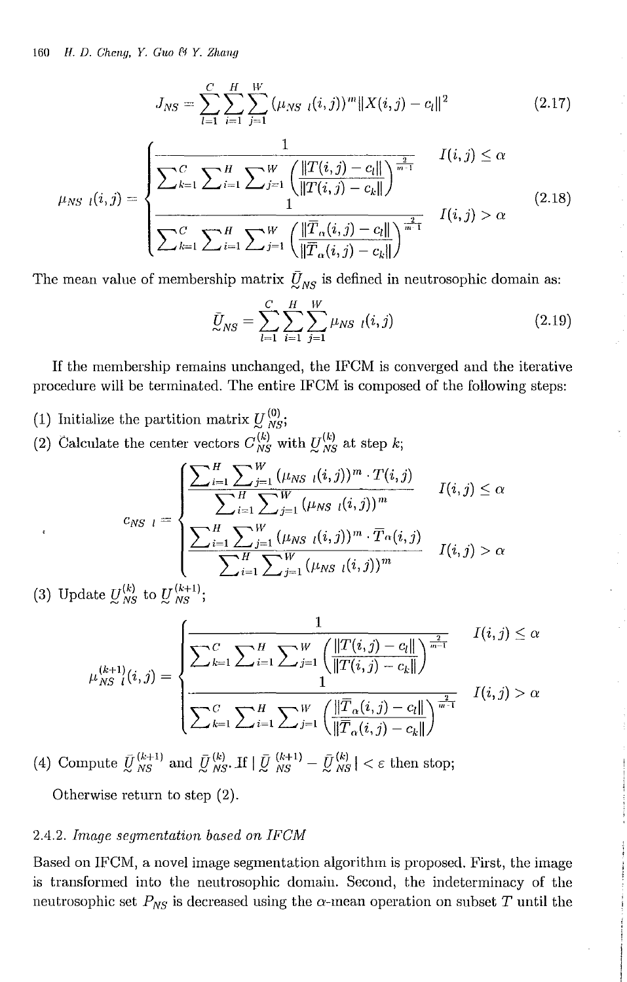$$
J_{NS} = \sum_{l=1}^{C} \sum_{i=1}^{H} \sum_{j=1}^{W} (\mu_{NS \ l}(i,j))^m \|X(i,j) - c_l\|^2
$$
 (2.17)

$$
\mu_{NS\ l}(i,j) = \begin{cases}\n\frac{1}{\sum_{k=1}^{C} \sum_{i=1}^{H} \sum_{j=1}^{W} \left( \frac{\|T(i,j) - c_{l}\|}{\|T(i,j) - c_{k}\|} \right)^{\frac{2}{m-1}}} & I(i,j) \leq \alpha \\
\frac{1}{\sum_{k=1}^{C} \sum_{i=1}^{H} \sum_{j=1}^{W} \left( \frac{\|\overline{T}_{\alpha}(i,j) - c_{l}\|}{\|\overline{T}_{\alpha}(i,j) - c_{k}\|} \right)^{\frac{2}{m-1}}} & I(i,j) > \alpha\n\end{cases}
$$
\n(2.18)

The mean value of membership matrix  $\bar{U}_{NS}$  is defined in neutrosophic domain as:

$$
\bar{U}_{NS} = \sum_{l=1}^{C} \sum_{i=1}^{H} \sum_{j=1}^{W} \mu_{NS} \, l(i,j) \tag{2.19}
$$

If the membership remains unchanged, the IFCM is converged and the iterative procedure will be terminated. The entire IFCM is composed of the following steps:

- (1) Initialize the partition matrix  $U_{NS}^{(0)}$ ;
- (2) Calculate the center vectors  $C_{NS}^{(k)}$  with  $U_{NS}^{(k)}$  at step *k*;

$$
c_{NS-l} = \begin{cases} \frac{\displaystyle \sum_{i=1}^{H} \sum_{j=1}^{W} (\mu_{NS-l}(i,j))^{m} \cdot T(i,j)}{\displaystyle \sum_{i=1}^{H} \sum_{j=1}^{W} (\mu_{NS-l}(i,j))^{m}} & I(i,j) \leq \alpha \\ \frac{\displaystyle \sum_{i=1}^{H} \sum_{j=1}^{W} (\mu_{NS-l}(i,j))^{m} \cdot \overline{T}_{\alpha}(i,j)}{\displaystyle \sum_{i=1}^{H} \sum_{j=1}^{W} (\mu_{NS-l}(i,j))^{m}} & I(i,j) > \alpha \end{cases}
$$

(3) Update  $U_{NS}^{(k)}$  to  $U_{NS}^{(k+1)}$ ;

$$
\mu_{NS}^{(k+1)}(i,j) = \n\begin{cases}\n\frac{1}{\sum_{k=1}^{C} \sum_{i=1}^{H} \sum_{j=1}^{W} \left( \frac{\|T(i,j) - c_{l}\|}{\|T(i,j) - c_{k}\|} \right)^{\frac{2}{m-1}}} & I(i,j) \leq \alpha \\
\frac{1}{\sum_{k=1}^{C} \sum_{i=1}^{H} \sum_{j=1}^{W} \left( \frac{\|\overline{T}_{\alpha}(i,j) - c_{l}\|}{\|\overline{T}_{\alpha}(i,j) - c_{k}\|} \right)^{\frac{2}{m-1}}} & I(i,j) > \alpha\n\end{cases}
$$

(4) Compute  $\bar{U}_{NS}^{(k+1)}$  and  $\bar{U}_{NS}^{(k)}$ . If  $|\bar{U}_{NS}^{(k+1)} - \bar{U}_{NS}^{(k)}| < \varepsilon$  then stop;

Otherwise return to step (2).

#### *2.4,2, [mage segmentation based on [FClV!*

Based on IFCM, a novel image segmentation algorithm is proposed. First, the image is transformed into the neutrosophic domain. Second, the indeterminacy of the neutrosophic set  $P_{NS}$  is decreased using the  $\alpha$ -mean operation on subset T until the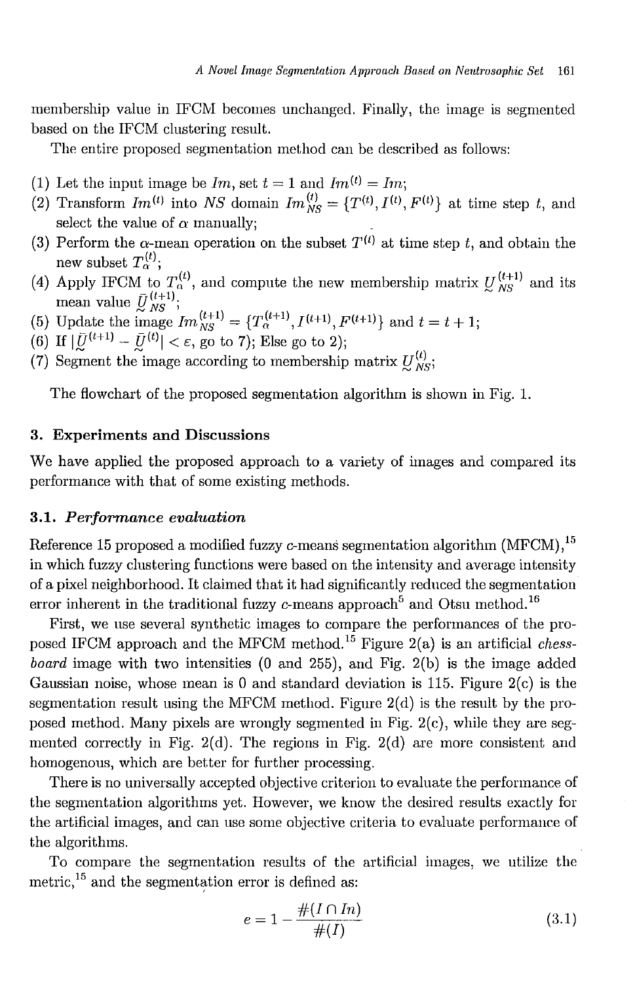membership value in IFCM becomes unchanged. Finally, the image is segmented based on the IFCM clustering result.

The entire proposed segmentation method can be described as follows:

- (1) Let the input image be  $Im$ , set  $t = 1$  and  $Im^{(t)} = Im$ ;
- (2) Transform  $Im^{(t)}$  into NS domain  $Im^{(t)}_{NS} = {T^{(t)}, I^{(t)}, F^{(t)}}$  at time step t, and select the value of  $\alpha$  manually;
- (3) Perform the  $\alpha$ -mean operation on the subset  $T^{(t)}$  at time step t, and obtain the new subset  $T^{(t)}_\alpha;$
- (4) Apply IFCM to  $T_{\alpha}^{(t)}$ , and compute the new membership matrix  $U_{NS}^{(t+1)}$  and its mean value  $\bar{U}_{NS}^{(t+1)}$ ;<br>
(5) Update the image  $Im_{NS}^{(t+1)} = \{T_{\alpha}^{(t+1)}, I^{(t+1)}, F^{(t+1)}\}$  and  $t = t + 1$ ;<br>
(6) If  $|\bar{U}^{(t+1)} - \bar{U}^{(t)}| < \varepsilon$ , go to 7); Else go to 2);
- 
- 
- (7) Segment the image according to membership matrix  $U_{NS}^{(t)}$ ;

The flowchart of the proposed segmentation algorithm is shown in Fig. 1.

### **3.** Experiments **and** Discussions

We have applied the proposed approach to a variety of images and compared its performance with that of some existing methods.

#### *3.1. Performance evaluation*

Reference 15 proposed a modified fuzzy c-means segmentation algorithm  $(MFCM)$ ,<sup>15</sup> in which fuzzy clustering functions were based on the intensity and average intensity of a pixel neighborhood. It claimed that it had significantly reduced the segmentation error inherent in the traditional fuzzy  $c$ -means approach<sup>5</sup> and Otsu method.<sup>16</sup>

First, we use several synthetic images to compare the performances of the proposed IFCM approach and the MFCM method.<sup>15</sup> Figure 2(a) is an artificial *chessboard* image with two intensities (0 and 255), and Fig. 2(b) is the image added Gaussian noise, whose mean is 0 and standard deviation is 115. Figure 2(c) is the segmentation result using the MFCM method. Figure 2(d) is the result by the proposed method. Many pixels are wrongly segmented in Fig. 2(c), while they are segmented correctly in Fig. 2(d). The regions in Fig. 2(d) are more consistent and homogenous, which are better for further processing.

There is no universally accepted objective criterion to evaluate the performance of the segmentation algorithms yet. However, we know the desired results exactly for the artificial images, and can use some objective criteria to evaluate performance of the algorithms.

To compare the segmentation results of the artificial images, we utilize the metric,<sup>15</sup> and the segmentation error is defined as:

$$
e = 1 - \frac{\#(I \cap In)}{\#(I)} \tag{3.1}
$$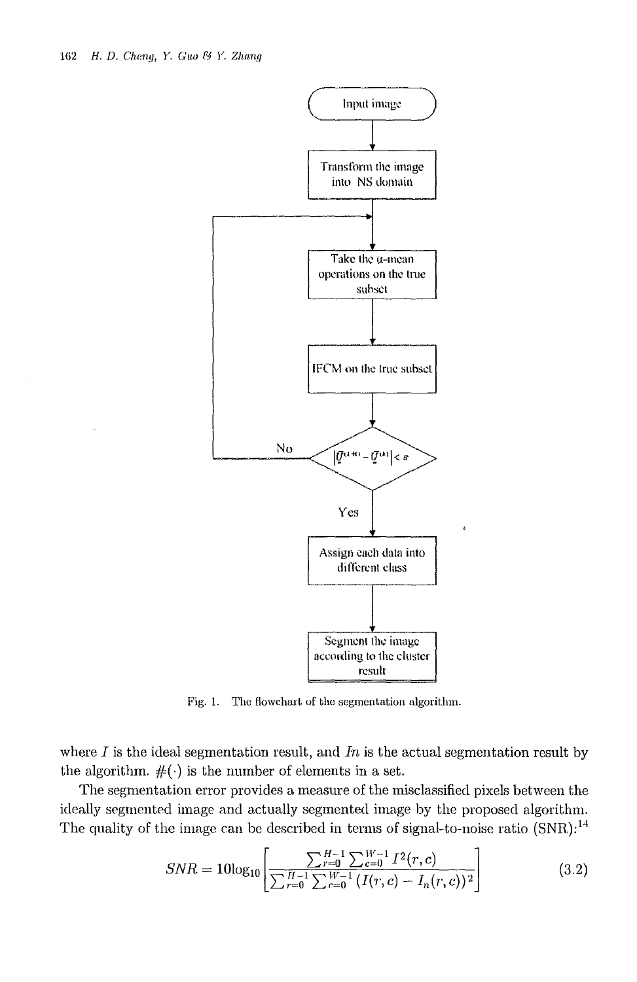

Fig. 1. The flowchart of the segmentation algorithm.

where *I* is the ideal segmentation result, and *In* is the actual segmentation result by the algorithm.  $#(\cdot)$  is the number of elements in a set.

The segmentation error provides a measure of the misclassified pixels between the ideally segmented image and actually segmented image by the proposed algorithm. The quality of the image can be described in terms of signal-to-noise ratio  $(SNR)$ :<sup>14</sup>

$$
SNR = 10\log_{10}\left[\frac{\sum_{r=0}^{H-1} \sum_{c=0}^{W-1} I^2(r, c)}{\sum_{r=0}^{H-1} \sum_{c=0}^{W-1} (I(r, c) - I_n(r, c))^2}\right]
$$
(3.2)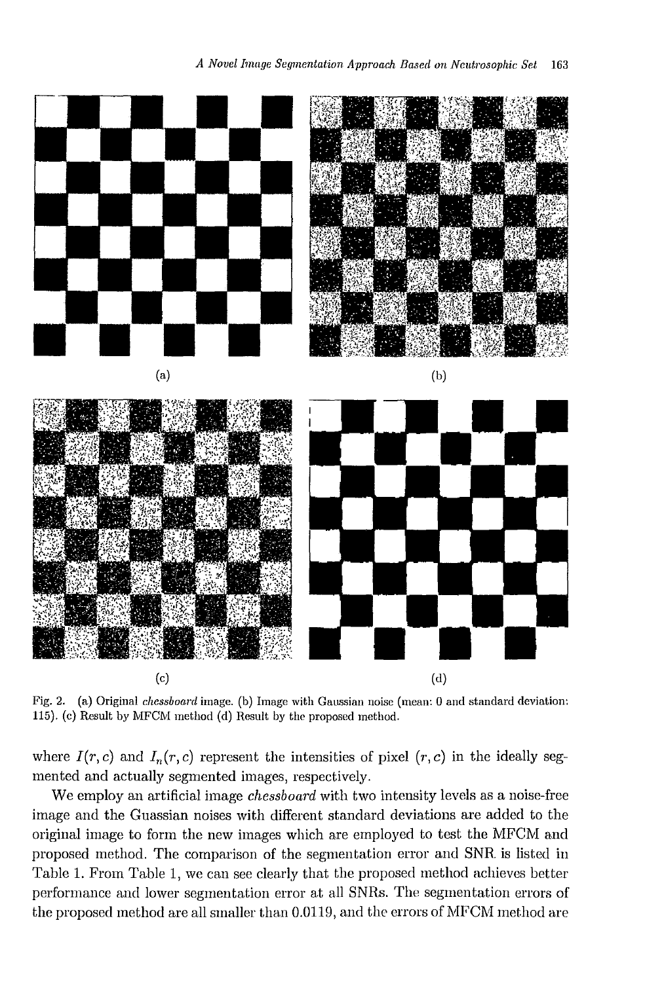

Fig. 2. (a) Original *chessboard* image. (b) Image with Gaussian noise (mean: 0 and standard deviation: *115).* (c) Result by MFCM method (d) Result by the proposed method.

where  $I(r, c)$  and  $I_n(r, c)$  represent the intensities of pixel  $(r, c)$  in the ideally segmented and actually segmented images, respectively.

We employ an artificial image *chessboard* with *two* intensity levels as a noise-free image and the Guassian noises with different standard deviations are added to the original image to form the new images which are employed to test the MFCM and proposed method. The comparison of the segmentation error and SNR. is listed in Table 1. From Table 1, we can see clearly that the proposed method achieves better performance and lower segmentation error at all SNRs. The segmentation errors of the proposed method are all smaller than  $0.0119$ , and the errors of MFCM method are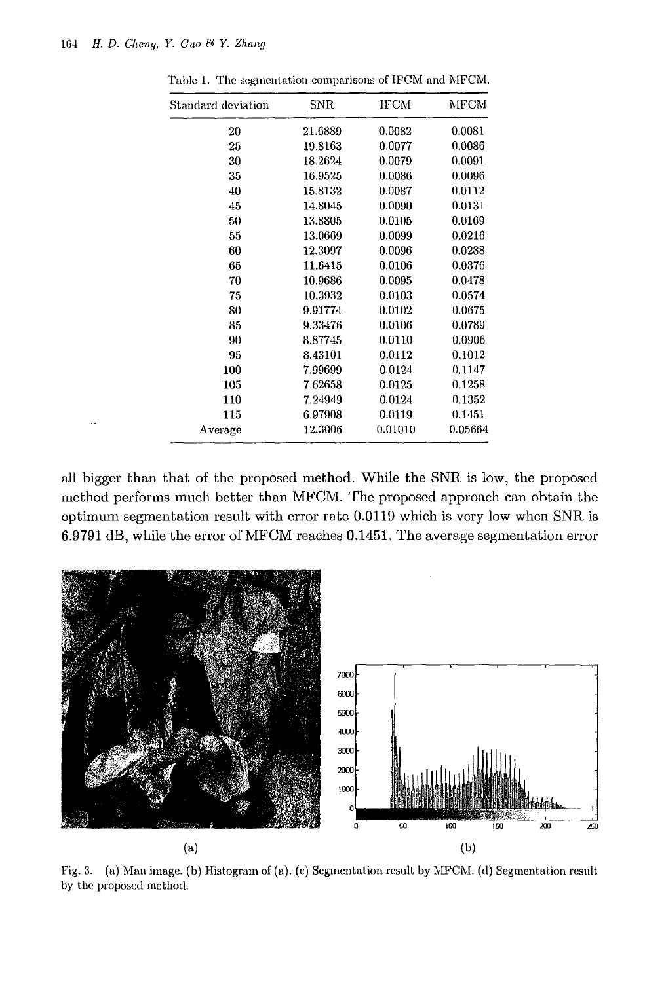| Standard deviation | SNR     | IFCM    | MFCM    |
|--------------------|---------|---------|---------|
| 20                 | 21.6889 | 0.0082  | 0.0081  |
| 25                 | 19.8163 | 0.0077  | 0.0086  |
| 30                 | 18.2624 | 0.0079  | 0.0091  |
| 35                 | 16.9525 | 0.0086  | 0.0096  |
| 40                 | 15.8132 | 0.0087  | 0.0112  |
| 45                 | 14.8045 | 0.0090  | 0.0131  |
| 50                 | 13.8805 | 0.0105  | 0.0169  |
| 55                 | 13.0669 | 0.0099  | 0.0216  |
| 60                 | 12.3097 | 0.0096  | 0.0288  |
| 65                 | 11.6415 | 0.0106  | 0.0376  |
| 70                 | 10.9686 | 0.0095  | 0.0478  |
| 75                 | 10.3932 | 0.0103  | 0.0574  |
| 80                 | 9.91774 | 0.0102  | 0.0675  |
| 85                 | 9.33476 | 0.0106  | 0.0789  |
| 90                 | 8.87745 | 0.0110  | 0.0906  |
| 95                 | 8.43101 | 0.0112  | 0.1012  |
| 100                | 7.99699 | 0.0124  | 0.1147  |
| 105                | 7.62658 | 0.0125  | 0.1258  |
| 110                | 7.24949 | 0.0124  | 0.1352  |
| 115                | 6.97908 | 0.0119  | 0.1451  |
| Average            | 12.3006 | 0.01010 | 0.05664 |

Table 1. The segmentation comparisons of IFCM and MFCM.

all bigger than that of the proposed method. While the SNR is low, the proposed method performs much better than MFCM. The proposed approach can obtain the optimum segmentation result with error rate 0.0119 which is very low when SNR is 6.9791 dB, while the error of MFCM reaches 0.1451. The average segmentation error



Fig. 3. (a) Man image. (b) Histogram of (a). (c) Segmentation result by MFCM. (d) Segmentation result, by the proposed method.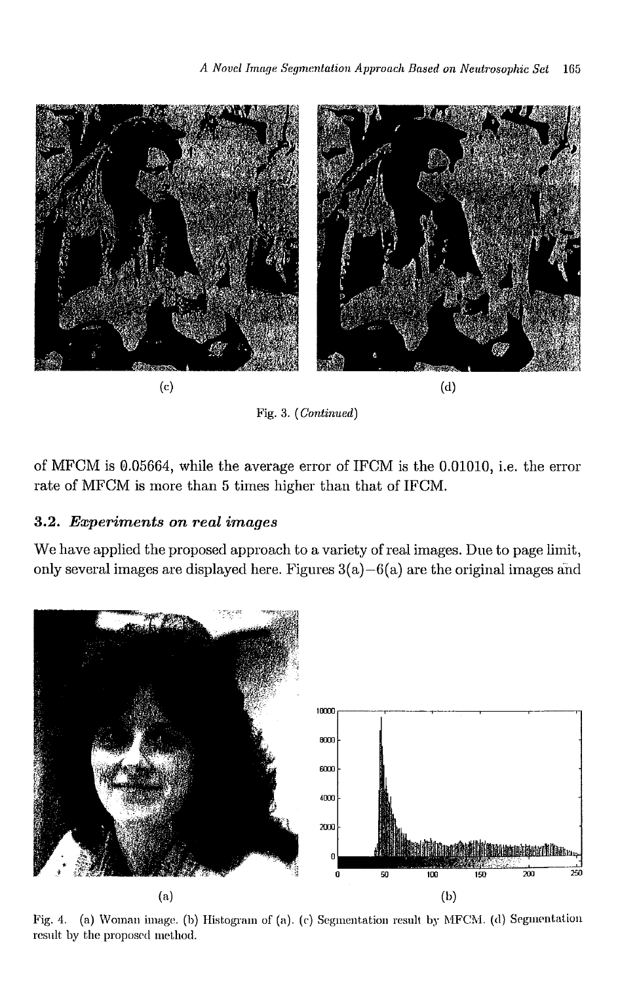

Fig. 3. *(Continued)*

of MFCM is @.05664, while the average error of IFCM is the 0.01010, i.e. the error rate of MFCM is more than 5 times higher than that of IFCM.

## *3.2. Experiments on real images*

We have applied the proposed approach to a variety of real images. Due to page limit, only several images are displayed here. Figures  $3(a)-6(a)$  are the original images and



Fig. 4. (a) Woman image. (b) Histogram of (a). (c) Segmentation result by MFCM. (d) Segmentation result by the proposed method.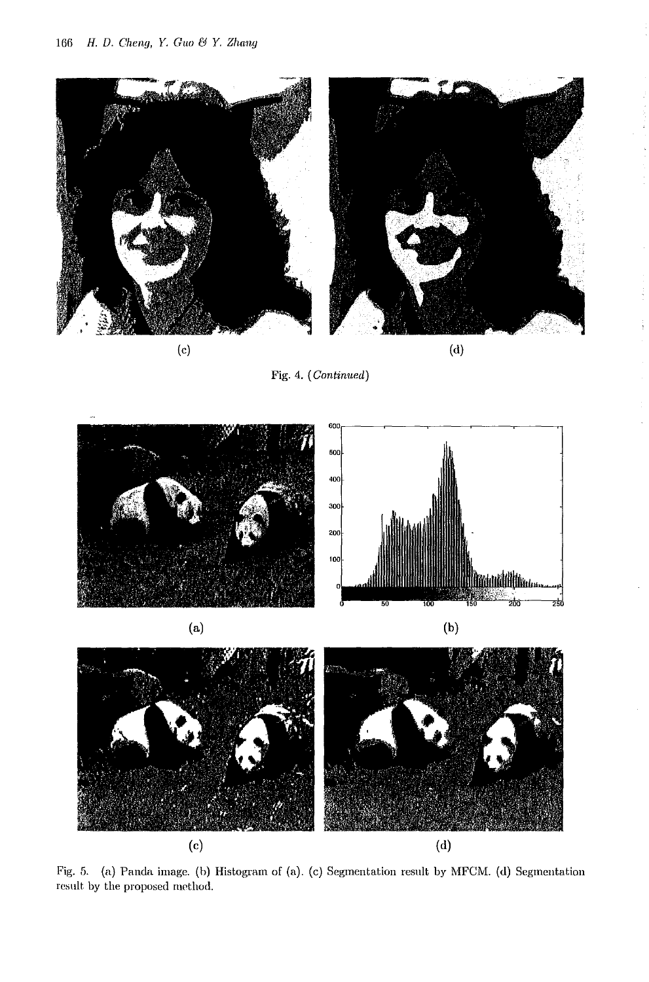

Fig. 4. *(Continued)*





Fig. 5. (a) Panda image. (h) Histogram of (a). (c) Segmentation result by MFCM. (d) Segmentation result by the proposed method.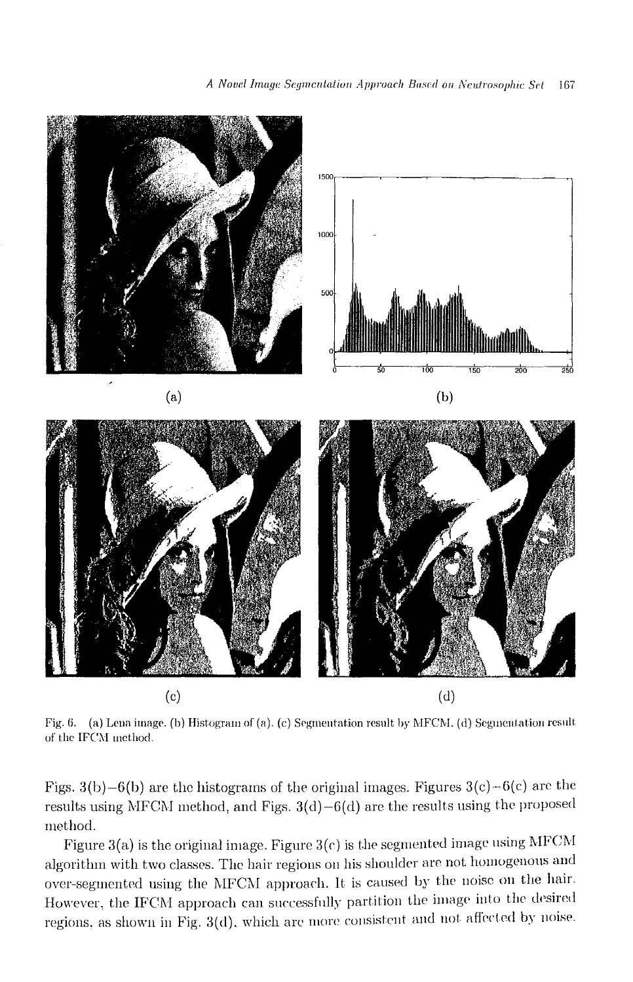

Fig. 6. (a) Lena image. (b) Histogram of (a). (c) Segmentation result by MFCM. (d) Segmentation result. of the IFCM method.

Figs. 3(b)-6(b) are the histograms of the original images. Figures  $3(c) - 6(c)$  are the results using MFCM method, and Figs.  $3(d)-6(d)$  are the results using the proposed method.

Figure 3(a) is the original image. Figure 3(c) is the segmented image using MFCM algorithm with two classes, The hair regions on his shoulder are not homogenous and over-segmented using the MFCM approach. It is caused by the noise on the hair. However, the IFCM approach can successfully partition the image into the desired regions, as shown in Fig.  $3(d)$ , which are more consistent and not affected by noise.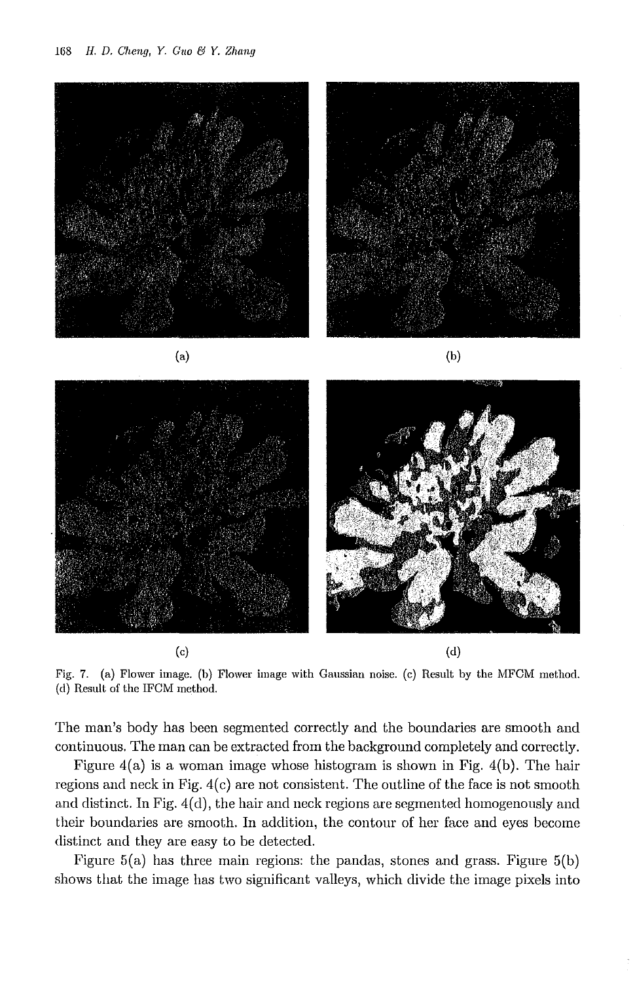

Fig. 7. (a) Flower image. (b) Flower image with Gaussian noise. (c) Result by the MFCM method. (d) Result of the IFCM method.

The man's body has been segmented correctly and the boundaries are smooth and continuous. The man can be extracted from the background completely and correctly.

Figure  $4(a)$  is a woman image whose histogram is shown in Fig.  $4(b)$ . The hair regions and neck in Fig. 4(c) are not consistent. The outline of the face is not smooth and distinct. In Fig. 4(d), the hair and neck regions are segmented homogenously and their boundaries are smooth. In addition, the contour of her face and eyes become distinct and they are easy to be detected.

Figure 5(a) has three main regions: the pandas, stones and grass. Figure 5(b) shows that the image has two significant valleys, which divide the image pixels into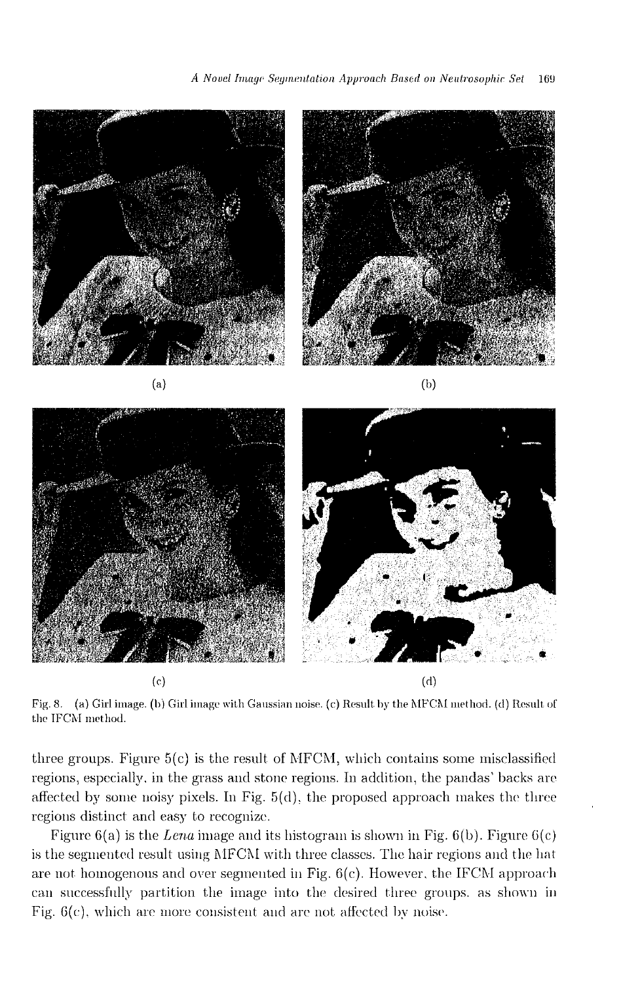

Fig. 8. (a) Girl image. (b) Girl image with Gaussian noise. (c) Result by the MFCM method. (d) Result of the IFCM method.

three groups. Figure  $5(c)$  is the result of MFCM, which contains some misclassified regions, especially. in the grass and stone regions. In addition, the pandas' backs are affected by some noisy pixels. In Fig.  $5(d)$ , the proposed approach makes the three regions distinct and easy to recognize.

Figure 6(a) is the *Lena* image and its histogram is shown in Fig. 6(b). Figure G(c) is the segmented result using MFCM with three classes. The hair regions and the hat are not homogenous and over segmented in Fig.  $6(c)$ . However, the IFCM approach can successfully partition the image into the desired three groups, as shown in Fig.  $6(c)$ , which are more consistent and are not affected by noise.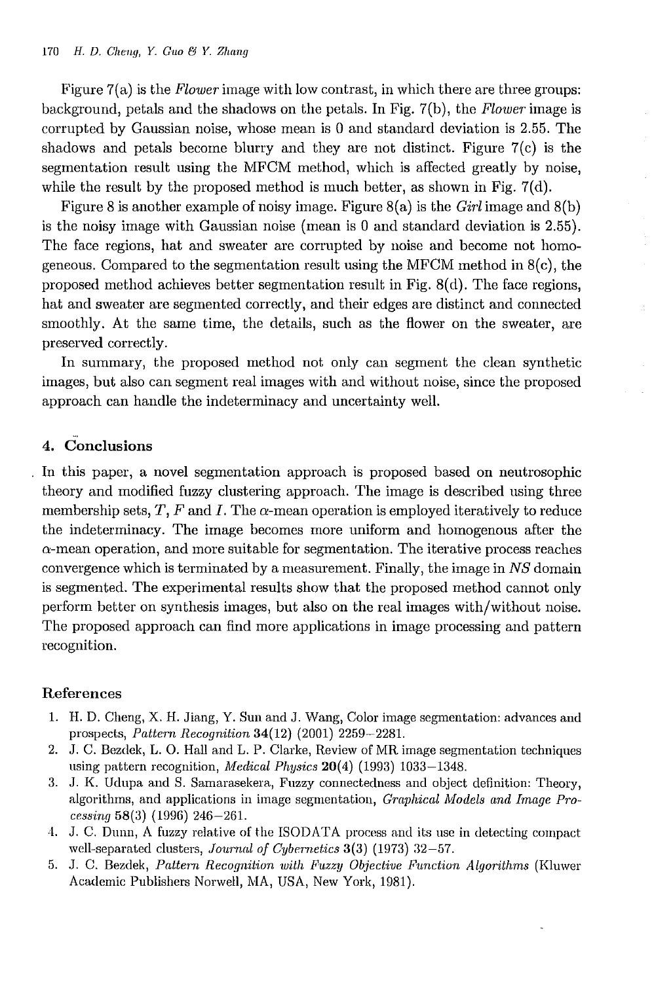Figure 7(a) is the *Flower* image with low contrast, in which there are three groups: background, petals and the shadows on the petals. In Fig. 7(b), the *Flower* image is corrupted by Gaussian noise, whose mean is 0 and standard deviation is 2.55. The shadows and petals become blurry and they are not distinct. Figure 7(c) is the segmentation result using the MFCM method, which is affected greatly by noise, while the result by the proposed method is much better, as shown in Fig.  $7(d)$ .

Figure 8 is another example of noisy image. Figure 8(a) is the *Girl* image and 8(b) is the noisy image with Gaussian noise (mean is 0 and standard deviation is 2.55). The face regions, hat and sweater are corrupted by noise and become not homogeneous. Compared to the segmentation result using the MFCM method in 8(c), the proposed method achieves better segmentation result in Fig. 8(d). The face regions, hat and sweater are segmented correctly, and their edges are distinct and connected smoothly. At the same time, the details, such as the flower on the sweater, are preserved correctly.

In summary, the proposed method not only can segment the clean synthetic images, but also can segment real images with and without noise, since the proposed approach can handle the indeterminacy and uncertainty well.

## 4. Conclusions

In this paper, a novel segmentation approach is proposed based on neutrosophic theory and modified fuzzy clustering approach. The image is described using three membership sets, *T*, *F* and *I*. The  $\alpha$ -mean operation is employed iteratively to reduce the indeterminacy. The image becomes more uniform and homogenous after the  $\alpha$ -mean operation, and more suitable for segmentation. The iterative process reaches convergence which is terminated by a measurement. Finally, the image in *NS* domain is segmented. The experimental results show that the proposed method cannot only perform better on synthesis images, but also on the real images with/without noise. The proposed approach can find more applications in image processing and pattern recognition.

### References

- 1. H. D. Cheng, X. H. Jiang, Y. Sun and J. Wang, Color image segmentation: advances and prospects, *Pattern Recognition* 34(12) (2001) 2259-2281.
- 2. J. C. Bezdek, L. O. Hall and L. P. Clarke, Review of MR image segmentation techniques using pattern recognition, *Medical Physics* 20(4) (1993) 1033-1348.
- 3. J. K. Udupa and S. Samarasekera, Fuzzy connectedness and object definition: Theory, algorithms, and applications in image segmentation, *Graphical Models and Image Processing* 58(3) (1996) 246-261.
- 4. J. C. Dunn, A fuzzy relative of the ISODATA process and its use in detecting compact well-separated clusters, *Journal of Cybernetics* 3(3) (1973) 32-57.
- 5. J. C. Bezdek, *Pattern Recognition with Fuzzy Objective Function Algorithms* (Kluwer Academic Publishers Norwell, MA, USA, New York, 1981).